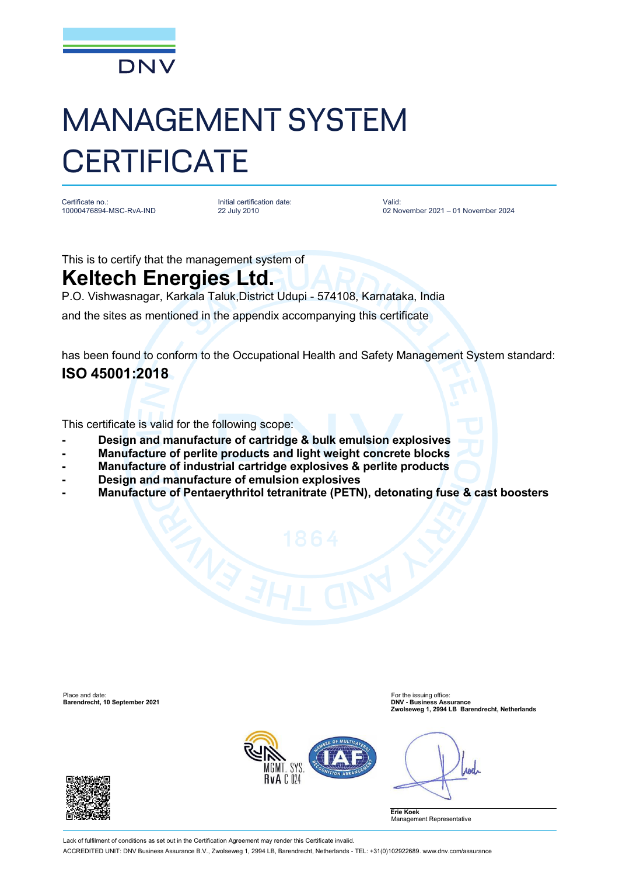

## MANAGEMENT SYSTEM **CERTIFICATE**

Certificate no.: 10000476894-MSC-RvA-IND Initial certification date: 22 July 2010

Valid: 02 November 2021 – 01 November 2024

This is to certify that the management system of

## **Keltech Energies Ltd.**

P.O. Vishwasnagar, Karkala Taluk,District Udupi - 574108, Karnataka, India

and the sites as mentioned in the appendix accompanying this certificate

has been found to conform to the Occupational Health and Safety Management System standard: **ISO 45001:2018**

This certificate is valid for the following scope:

- **- Design and manufacture of cartridge & bulk emulsion explosives**
- **- Manufacture of perlite products and light weight concrete blocks**
- **- Manufacture of industrial cartridge explosives & perlite products**
- **- Design and manufacture of emulsion explosives**
- **- Manufacture of Pentaerythritol tetranitrate (PETN), detonating fuse & cast boosters**

Place and date: For the issuing office: **Barendrecht, 10 September 2021 DNV - Business Assurance**

**Zwolseweg 1, 2994 LB Barendrecht, Netherlands**



**And** 

**Erie Koek** Management Representative